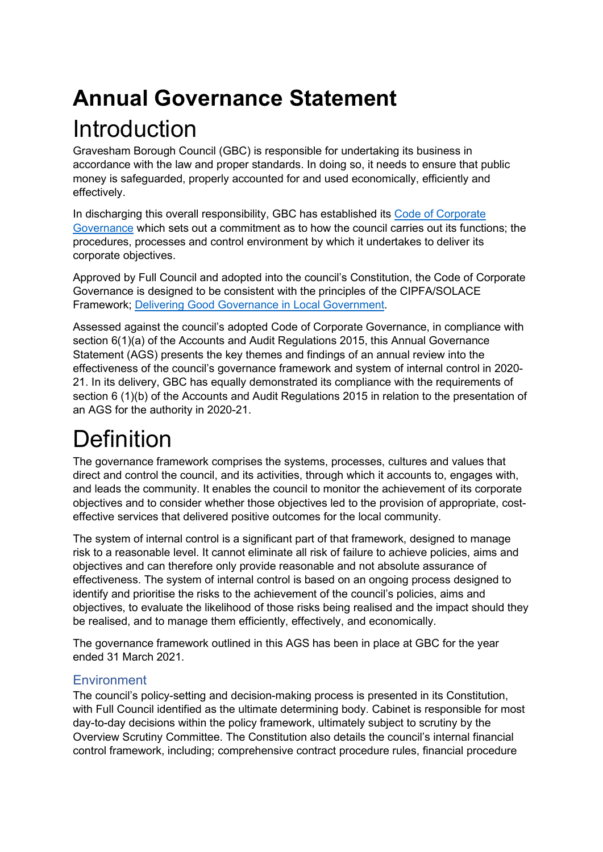# **Annual Governance Statement** Introduction

Gravesham Borough Council (GBC) is responsible for undertaking its business in accordance with the law and proper standards. In doing so, it needs to ensure that public money is safeguarded, properly accounted for and used economically, efficiently and effectively.

In discharging this overall responsibility, GBC has established its [Code of Corporate](https://www.gravesham.gov.uk/home/about-the-council/policies-strategies-open-data/corporate-governance)  [Governance](https://www.gravesham.gov.uk/home/about-the-council/policies-strategies-open-data/corporate-governance) which sets out a commitment as to how the council carries out its functions; the procedures, processes and control environment by which it undertakes to deliver its corporate objectives.

Approved by Full Council and adopted into the council's Constitution, the Code of Corporate Governance is designed to be consistent with the principles of the CIPFA/SOLACE Framework; [Delivering Good Governance in Local Government.](https://www.cipfa.org/policy-and-guidance/publications/d/delivering-good-governance-in-local-government-framework-2016-edition)

Assessed against the council's adopted Code of Corporate Governance, in compliance with section 6(1)(a) of the Accounts and Audit Regulations 2015, this Annual Governance Statement (AGS) presents the key themes and findings of an annual review into the effectiveness of the council's governance framework and system of internal control in 2020- 21. In its delivery, GBC has equally demonstrated its compliance with the requirements of section 6 (1)(b) of the Accounts and Audit Regulations 2015 in relation to the presentation of an AGS for the authority in 2020-21.

# **Definition**

The governance framework comprises the systems, processes, cultures and values that direct and control the council, and its activities, through which it accounts to, engages with, and leads the community. It enables the council to monitor the achievement of its corporate objectives and to consider whether those objectives led to the provision of appropriate, costeffective services that delivered positive outcomes for the local community.

The system of internal control is a significant part of that framework, designed to manage risk to a reasonable level. It cannot eliminate all risk of failure to achieve policies, aims and objectives and can therefore only provide reasonable and not absolute assurance of effectiveness. The system of internal control is based on an ongoing process designed to identify and prioritise the risks to the achievement of the council's policies, aims and objectives, to evaluate the likelihood of those risks being realised and the impact should they be realised, and to manage them efficiently, effectively, and economically.

The governance framework outlined in this AGS has been in place at GBC for the year ended 31 March 2021.

#### **Environment**

The council's policy-setting and decision-making process is presented in its Constitution, with Full Council identified as the ultimate determining body. Cabinet is responsible for most day-to-day decisions within the policy framework, ultimately subject to scrutiny by the Overview Scrutiny Committee. The Constitution also details the council's internal financial control framework, including; comprehensive contract procedure rules, financial procedure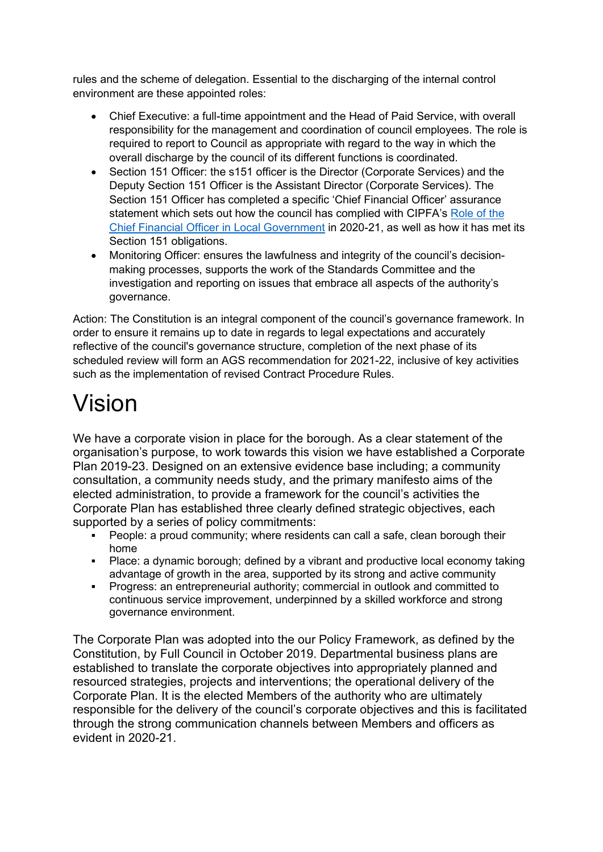rules and the scheme of delegation. Essential to the discharging of the internal control environment are these appointed roles:

- Chief Executive: a full-time appointment and the Head of Paid Service, with overall responsibility for the management and coordination of council employees. The role is required to report to Council as appropriate with regard to the way in which the overall discharge by the council of its different functions is coordinated.
- Section 151 Officer: the s151 officer is the Director (Corporate Services) and the Deputy Section 151 Officer is the Assistant Director (Corporate Services). The Section 151 Officer has completed a specific 'Chief Financial Officer' assurance statement which sets out how the council has complied with CIPFA's [Role of the](https://www.cipfa.org/policy-and-guidance/reports/the-role-of-the-chief-financial-officer-in-local-government)  [Chief Financial Officer in Local Government](https://www.cipfa.org/policy-and-guidance/reports/the-role-of-the-chief-financial-officer-in-local-government) in 2020-21, as well as how it has met its Section 151 obligations.
- Monitoring Officer: ensures the lawfulness and integrity of the council's decisionmaking processes, supports the work of the Standards Committee and the investigation and reporting on issues that embrace all aspects of the authority's governance.

Action: The Constitution is an integral component of the council's governance framework. In order to ensure it remains up to date in regards to legal expectations and accurately reflective of the council's governance structure, completion of the next phase of its scheduled review will form an AGS recommendation for 2021-22, inclusive of key activities such as the implementation of revised Contract Procedure Rules.

# Vision

We have a corporate vision in place for the borough. As a clear statement of the organisation's purpose, to work towards this vision we have established a Corporate Plan 2019-23. Designed on an extensive evidence base including; a community consultation, a community needs study, and the primary manifesto aims of the elected administration, to provide a framework for the council's activities the Corporate Plan has established three clearly defined strategic objectives, each supported by a series of policy commitments:

- People: a proud community; where residents can call a safe, clean borough their home
- Place: a dynamic borough; defined by a vibrant and productive local economy taking advantage of growth in the area, supported by its strong and active community
- Progress: an entrepreneurial authority; commercial in outlook and committed to continuous service improvement, underpinned by a skilled workforce and strong governance environment.

The Corporate Plan was adopted into the our Policy Framework, as defined by the Constitution, by Full Council in October 2019. Departmental business plans are established to translate the corporate objectives into appropriately planned and resourced strategies, projects and interventions; the operational delivery of the Corporate Plan. It is the elected Members of the authority who are ultimately responsible for the delivery of the council's corporate objectives and this is facilitated through the strong communication channels between Members and officers as evident in 2020-21.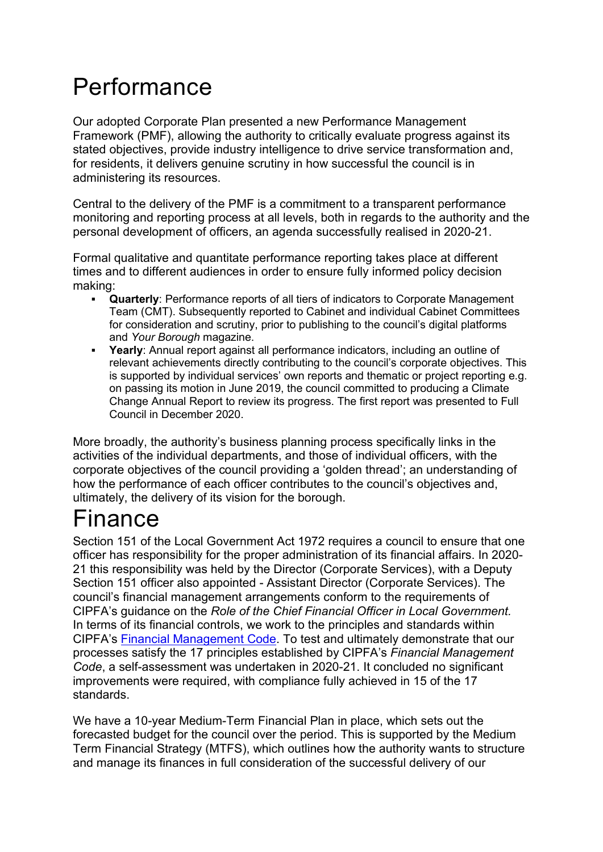## Performance

Our adopted Corporate Plan presented a new Performance Management Framework (PMF), allowing the authority to critically evaluate progress against its stated objectives, provide industry intelligence to drive service transformation and, for residents, it delivers genuine scrutiny in how successful the council is in administering its resources.

Central to the delivery of the PMF is a commitment to a transparent performance monitoring and reporting process at all levels, both in regards to the authority and the personal development of officers, an agenda successfully realised in 2020-21.

Formal qualitative and quantitate performance reporting takes place at different times and to different audiences in order to ensure fully informed policy decision making:

- **Quarterly**: Performance reports of all tiers of indicators to Corporate Management Team (CMT). Subsequently reported to Cabinet and individual Cabinet Committees for consideration and scrutiny, prior to publishing to the council's digital platforms and *Your Borough* magazine.
- **Yearly**: Annual report against all performance indicators, including an outline of relevant achievements directly contributing to the council's corporate objectives. This is supported by individual services' own reports and thematic or project reporting e.g. on passing its motion in June 2019, the council committed to producing a Climate Change Annual Report to review its progress. The first report was presented to Full Council in December 2020.

More broadly, the authority's business planning process specifically links in the activities of the individual departments, and those of individual officers, with the corporate objectives of the council providing a 'golden thread'; an understanding of how the performance of each officer contributes to the council's objectives and, ultimately, the delivery of its vision for the borough.

## Finance

Section 151 of the Local Government Act 1972 requires a council to ensure that one officer has responsibility for the proper administration of its financial affairs. In 2020- 21 this responsibility was held by the Director (Corporate Services), with a Deputy Section 151 officer also appointed - Assistant Director (Corporate Services). The council's financial management arrangements conform to the requirements of CIPFA's guidance on the *Role of the Chief Financial Officer in Local Government.* In terms of its financial controls, we work to the principles and standards within CIPFA's [Financial Management Code.](https://www.cipfa.org/policy-and-guidance/publications/f/financial-management-code) To test and ultimately demonstrate that our processes satisfy the 17 principles established by CIPFA's *Financial Management Code*, a self-assessment was undertaken in 2020-21. It concluded no significant improvements were required, with compliance fully achieved in 15 of the 17 standards.

We have a 10-year Medium-Term Financial Plan in place, which sets out the forecasted budget for the council over the period. This is supported by the Medium Term Financial Strategy (MTFS), which outlines how the authority wants to structure and manage its finances in full consideration of the successful delivery of our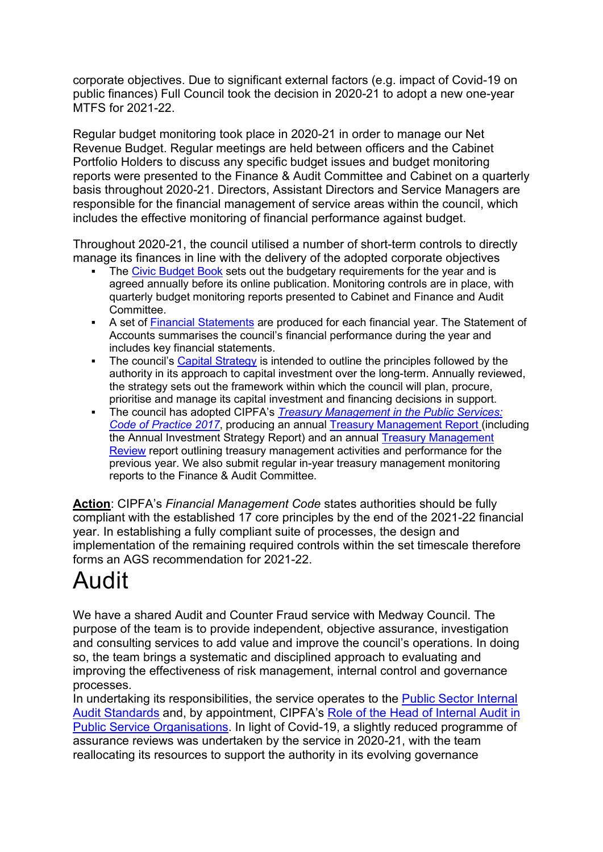corporate objectives. Due to significant external factors (e.g. impact of Covid-19 on public finances) Full Council took the decision in 2020-21 to adopt a new one-year MTFS for 2021-22.

Regular budget monitoring took place in 2020-21 in order to manage our Net Revenue Budget. Regular meetings are held between officers and the Cabinet Portfolio Holders to discuss any specific budget issues and budget monitoring reports were presented to the Finance & Audit Committee and Cabinet on a quarterly basis throughout 2020-21. Directors, Assistant Directors and Service Managers are responsible for the financial management of service areas within the council, which includes the effective monitoring of financial performance against budget.

Throughout 2020-21, the council utilised a number of short-term controls to directly manage its finances in line with the delivery of the adopted corporate objectives

- The [Civic Budget Book](http://www.gravesham.gov.uk/home/about-the-council/budgets-audits-and-accounts/budgets-and-budget-monitoring) sets out the budgetary requirements for the year and is agreed annually before its online publication. Monitoring controls are in place, with quarterly budget monitoring reports presented to Cabinet and Finance and Audit Committee.
- A set of [Financial Statements](http://www.gravesham.gov.uk/home/about-the-council/budgets-audits-and-accounts/statement-of-accounts) are produced for each financial year. The Statement of Accounts summarises the council's financial performance during the year and includes key financial statements.
- The council's [Capital Strategy](https://www.gravesham.gov.uk/__data/assets/pdf_file/0011/240221/Capital-Strategy.pdf) is intended to outline the principles followed by the authority in its approach to capital investment over the long-term. Annually reviewed, the strategy sets out the framework within which the council will plan, procure, prioritise and manage its capital investment and financing decisions in support.
- The council has adopted CIPFA's *[Treasury Management in the Public Services:](https://www.cipfa.org/policy-and-guidance/publications/t/treasury-management-in-the-public-services-code-of-practice-and-crosssectoral-guidance-notes-2017-edition-online)  [Code of Practice 2017](https://www.cipfa.org/policy-and-guidance/publications/t/treasury-management-in-the-public-services-code-of-practice-and-crosssectoral-guidance-notes-2017-edition-online)*, producing an annual [Treasury Management Report](https://democracy.gravesham.gov.uk/ieListDocuments.aspx?CId=110&MId=4481&Ver=4) (including the Annual Investment Strategy Report) and an annual [Treasury Management](https://democracy.gravesham.gov.uk/ieListDocuments.aspx?CId=110&MId=4381&Ver=4)  [Review](https://democracy.gravesham.gov.uk/ieListDocuments.aspx?CId=110&MId=4381&Ver=4) report outlining treasury management activities and performance for the previous year. We also submit regular in-year treasury management monitoring reports to the Finance & Audit Committee.

**Action**: CIPFA's *Financial Management Code* states authorities should be fully compliant with the established 17 core principles by the end of the 2021-22 financial year. In establishing a fully compliant suite of processes, the design and implementation of the remaining required controls within the set timescale therefore forms an AGS recommendation for 2021-22.

# Audit

We have a shared Audit and Counter Fraud service with Medway Council. The purpose of the team is to provide independent, objective assurance, investigation and consulting services to add value and improve the council's operations. In doing so, the team brings a systematic and disciplined approach to evaluating and improving the effectiveness of risk management, internal control and governance processes.

In undertaking its responsibilities, the service operates to the Public Sector Internal [Audit Standards](https://www.cipfa.org/policy-and-guidance/standards/public-sector-internal-audit-standards) and, by appointment, CIPFA's [Role of the Head of Internal Audit in](https://www.cipfa.org/policy-and-guidance/reports/the-role-of-the-head-of-internal-audit)  [Public Service Organisations.](https://www.cipfa.org/policy-and-guidance/reports/the-role-of-the-head-of-internal-audit) In light of Covid-19, a slightly reduced programme of assurance reviews was undertaken by the service in 2020-21, with the team reallocating its resources to support the authority in its evolving governance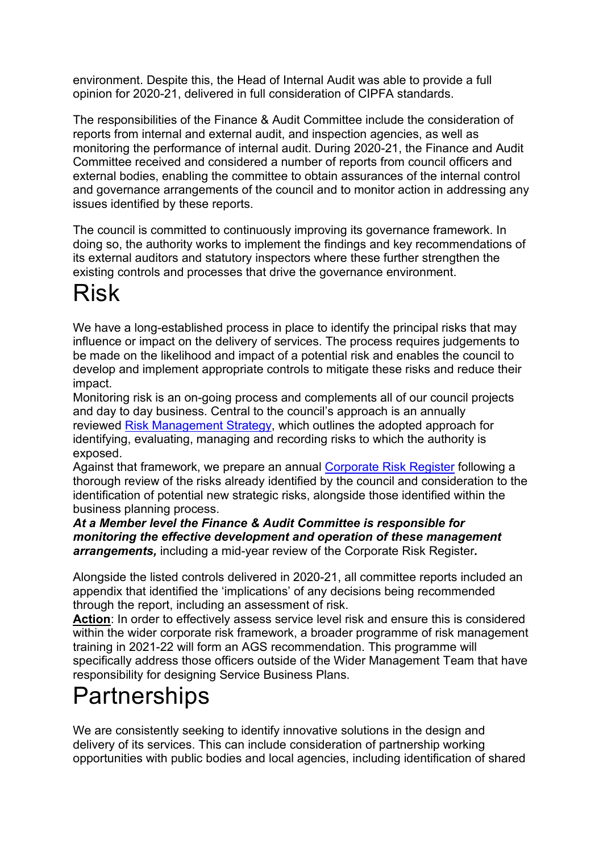environment. Despite this, the Head of Internal Audit was able to provide a full opinion for 2020-21, delivered in full consideration of CIPFA standards.

The responsibilities of the Finance & Audit Committee include the consideration of reports from internal and external audit, and inspection agencies, as well as monitoring the performance of internal audit. During 2020-21, the Finance and Audit Committee received and considered a number of reports from council officers and external bodies, enabling the committee to obtain assurances of the internal control and governance arrangements of the council and to monitor action in addressing any issues identified by these reports.

The council is committed to continuously improving its governance framework. In doing so, the authority works to implement the findings and key recommendations of its external auditors and statutory inspectors where these further strengthen the existing controls and processes that drive the governance environment.

#### Risk

We have a long-established process in place to identify the principal risks that may influence or impact on the delivery of services. The process requires judgements to be made on the likelihood and impact of a potential risk and enables the council to develop and implement appropriate controls to mitigate these risks and reduce their impact.

Monitoring risk is an on-going process and complements all of our council projects and day to day business. Central to the council's approach is an annually reviewed [Risk Management Strategy,](https://www.gravesham.gov.uk/home/about-the-council/policies-strategies-open-data/strategies) which outlines the adopted approach for identifying, evaluating, managing and recording risks to which the authority is exposed.

Against that framework, we prepare an annual [Corporate Risk Register](https://www.gravesham.gov.uk/home/about-the-council/policies-strategies-open-data/registers) following a thorough review of the risks already identified by the council and consideration to the identification of potential new strategic risks, alongside those identified within the business planning process.

*At a Member level the Finance & Audit Committee is responsible for monitoring the effective development and operation of these management arrangements,* including a mid-year review of the Corporate Risk Register*.*

Alongside the listed controls delivered in 2020-21, all committee reports included an appendix that identified the 'implications' of any decisions being recommended through the report, including an assessment of risk.

**Action**: In order to effectively assess service level risk and ensure this is considered within the wider corporate risk framework, a broader programme of risk management training in 2021-22 will form an AGS recommendation. This programme will specifically address those officers outside of the Wider Management Team that have responsibility for designing Service Business Plans.

## **Partnerships**

We are consistently seeking to identify innovative solutions in the design and delivery of its services. This can include consideration of partnership working opportunities with public bodies and local agencies, including identification of shared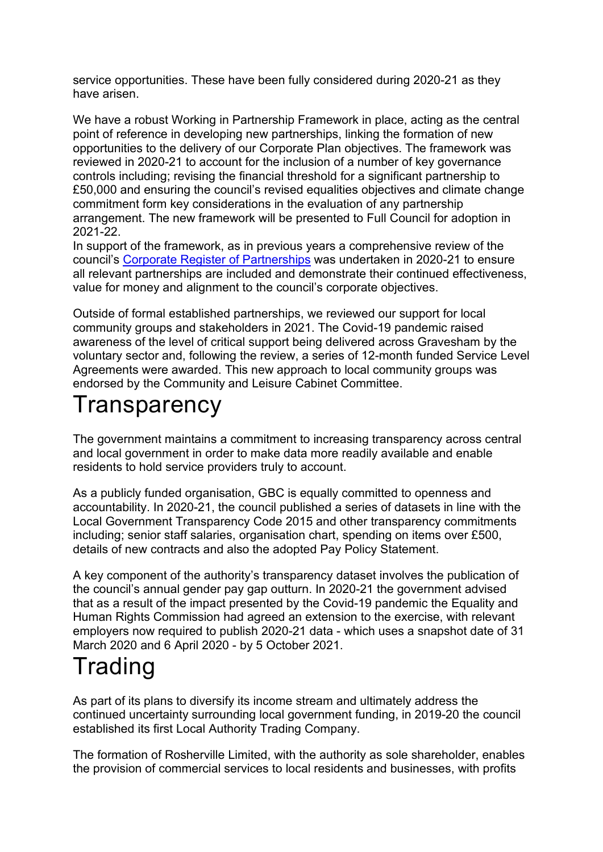service opportunities. These have been fully considered during 2020-21 as they have arisen.

We have a robust Working in Partnership Framework in place, acting as the central point of reference in developing new partnerships, linking the formation of new opportunities to the delivery of our Corporate Plan objectives. The framework was reviewed in 2020-21 to account for the inclusion of a number of key governance controls including; revising the financial threshold for a significant partnership to £50,000 and ensuring the council's revised equalities objectives and climate change commitment form key considerations in the evaluation of any partnership arrangement. The new framework will be presented to Full Council for adoption in 2021-22.

In support of the framework, as in previous years a comprehensive review of the council's [Corporate Register of Partnerships](https://www.gravesham.gov.uk/home/about-the-council/policies-strategies-open-data/registers) was undertaken in 2020-21 to ensure all relevant partnerships are included and demonstrate their continued effectiveness, value for money and alignment to the council's corporate objectives.

Outside of formal established partnerships, we reviewed our support for local community groups and stakeholders in 2021. The Covid-19 pandemic raised awareness of the level of critical support being delivered across Gravesham by the voluntary sector and, following the review, a series of 12-month funded Service Level Agreements were awarded. This new approach to local community groups was endorsed by the Community and Leisure Cabinet Committee.

#### **Transparency**

The government maintains a commitment to increasing transparency across central and local government in order to make data more readily available and enable residents to hold service providers truly to account.

As a publicly funded organisation, GBC is equally committed to openness and accountability. In 2020-21, the council published a series of datasets in line with the Local Government Transparency Code 2015 and other transparency commitments including; senior staff salaries, organisation chart, spending on items over £500, details of new contracts and also the adopted Pay Policy Statement.

A key component of the authority's transparency dataset involves the publication of the council's annual gender pay gap outturn. In 2020-21 the government advised that as a result of the impact presented by the Covid-19 pandemic the Equality and Human Rights Commission had agreed an extension to the exercise, with relevant employers now required to publish 2020-21 data - which uses a snapshot date of 31 March 2020 and 6 April 2020 - by 5 October 2021.

## **Trading**

As part of its plans to diversify its income stream and ultimately address the continued uncertainty surrounding local government funding, in 2019-20 the council established its first Local Authority Trading Company.

The formation of Rosherville Limited, with the authority as sole shareholder, enables the provision of commercial services to local residents and businesses, with profits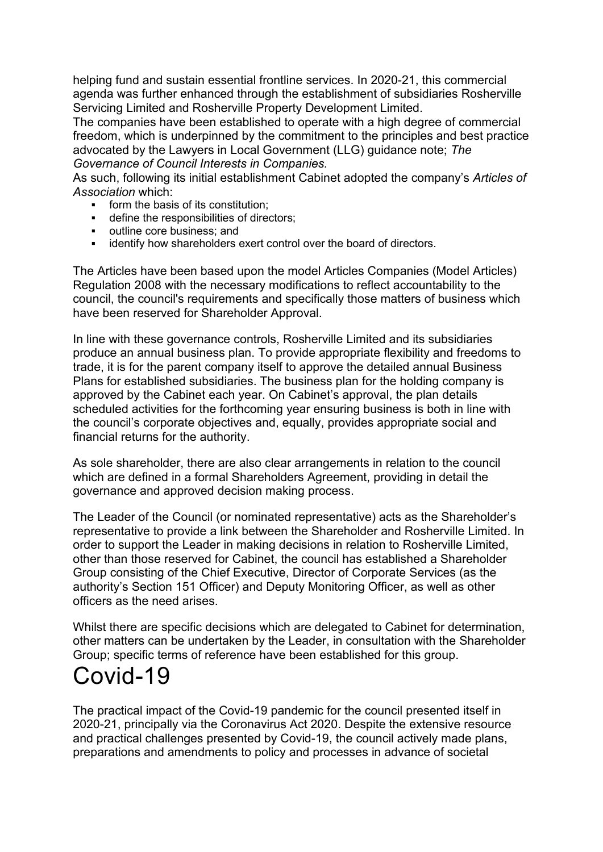helping fund and sustain essential frontline services. In 2020-21, this commercial agenda was further enhanced through the establishment of subsidiaries Rosherville Servicing Limited and Rosherville Property Development Limited.

The companies have been established to operate with a high degree of commercial freedom, which is underpinned by the commitment to the principles and best practice advocated by the Lawyers in Local Government (LLG) guidance note; *The Governance of Council Interests in Companies.*

As such, following its initial establishment Cabinet adopted the company's *Articles of Association* which:

- form the basis of its constitution;
- define the responsibilities of directors;
- outline core business; and
- **EXEDENT** identify how shareholders exert control over the board of directors.

The Articles have been based upon the model Articles Companies (Model Articles) Regulation 2008 with the necessary modifications to reflect accountability to the council, the council's requirements and specifically those matters of business which have been reserved for Shareholder Approval.

In line with these governance controls, Rosherville Limited and its subsidiaries produce an annual business plan. To provide appropriate flexibility and freedoms to trade, it is for the parent company itself to approve the detailed annual Business Plans for established subsidiaries. The business plan for the holding company is approved by the Cabinet each year. On Cabinet's approval, the plan details scheduled activities for the forthcoming year ensuring business is both in line with the council's corporate objectives and, equally, provides appropriate social and financial returns for the authority.

As sole shareholder, there are also clear arrangements in relation to the council which are defined in a formal Shareholders Agreement, providing in detail the governance and approved decision making process.

The Leader of the Council (or nominated representative) acts as the Shareholder's representative to provide a link between the Shareholder and Rosherville Limited. In order to support the Leader in making decisions in relation to Rosherville Limited, other than those reserved for Cabinet, the council has established a Shareholder Group consisting of the Chief Executive, Director of Corporate Services (as the authority's Section 151 Officer) and Deputy Monitoring Officer, as well as other officers as the need arises.

Whilst there are specific decisions which are delegated to Cabinet for determination, other matters can be undertaken by the Leader, in consultation with the Shareholder Group; specific terms of reference have been established for this group.

## Covid-19

The practical impact of the Covid-19 pandemic for the council presented itself in 2020-21, principally via the Coronavirus Act 2020. Despite the extensive resource and practical challenges presented by Covid-19, the council actively made plans, preparations and amendments to policy and processes in advance of societal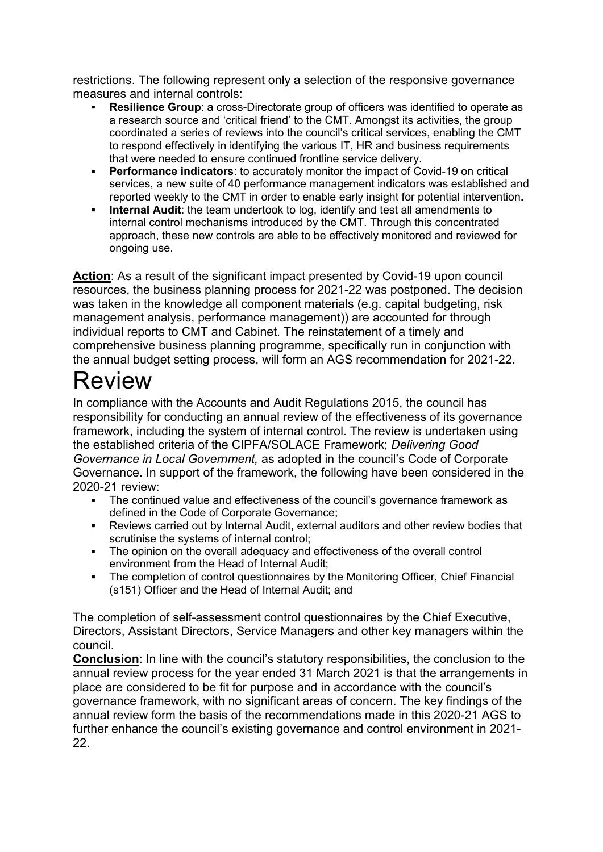restrictions. The following represent only a selection of the responsive governance measures and internal controls:

- **Resilience Group**: a cross-Directorate group of officers was identified to operate as a research source and 'critical friend' to the CMT. Amongst its activities, the group coordinated a series of reviews into the council's critical services, enabling the CMT to respond effectively in identifying the various IT, HR and business requirements that were needed to ensure continued frontline service delivery.
- **Performance indicators**: to accurately monitor the impact of Covid-19 on critical services, a new suite of 40 performance management indicators was established and reported weekly to the CMT in order to enable early insight for potential intervention**.**
- **Internal Audit**: the team undertook to log, identify and test all amendments to internal control mechanisms introduced by the CMT. Through this concentrated approach, these new controls are able to be effectively monitored and reviewed for ongoing use.

**Action**: As a result of the significant impact presented by Covid-19 upon council resources, the business planning process for 2021-22 was postponed. The decision was taken in the knowledge all component materials (e.g. capital budgeting, risk management analysis, performance management)) are accounted for through individual reports to CMT and Cabinet. The reinstatement of a timely and comprehensive business planning programme, specifically run in conjunction with the annual budget setting process, will form an AGS recommendation for 2021-22.

### Review

In compliance with the Accounts and Audit Regulations 2015, the council has responsibility for conducting an annual review of the effectiveness of its governance framework, including the system of internal control. The review is undertaken using the established criteria of the CIPFA/SOLACE Framework; *Delivering Good Governance in Local Government,* as adopted in the council's Code of Corporate Governance. In support of the framework, the following have been considered in the 2020-21 review:

- The continued value and effectiveness of the council's governance framework as defined in the Code of Corporate Governance;
- Reviews carried out by Internal Audit, external auditors and other review bodies that scrutinise the systems of internal control;
- The opinion on the overall adequacy and effectiveness of the overall control environment from the Head of Internal Audit;
- The completion of control questionnaires by the Monitoring Officer, Chief Financial (s151) Officer and the Head of Internal Audit; and

The completion of self-assessment control questionnaires by the Chief Executive, Directors, Assistant Directors, Service Managers and other key managers within the council.

**Conclusion**: In line with the council's statutory responsibilities, the conclusion to the annual review process for the year ended 31 March 2021 is that the arrangements in place are considered to be fit for purpose and in accordance with the council's governance framework, with no significant areas of concern. The key findings of the annual review form the basis of the recommendations made in this 2020-21 AGS to further enhance the council's existing governance and control environment in 2021- 22.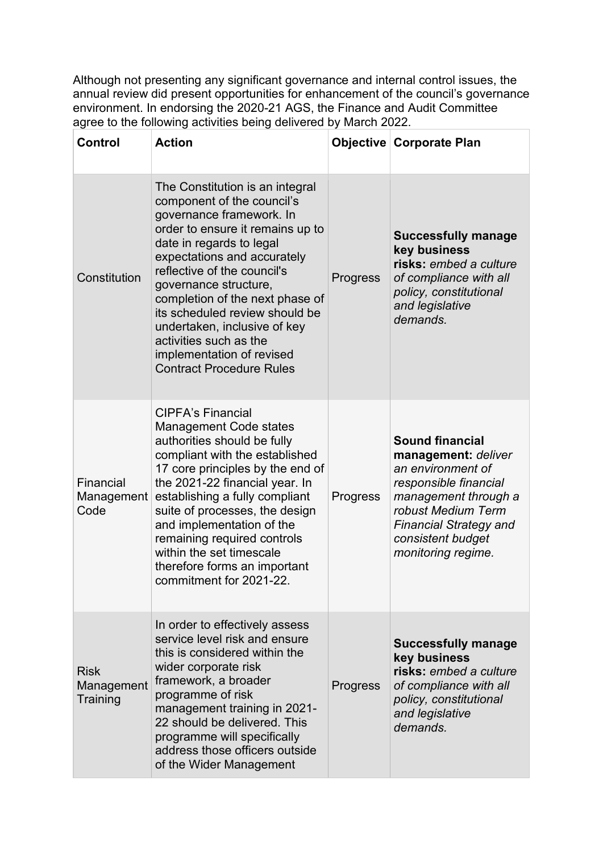Although not presenting any significant governance and internal control issues, the annual review did present opportunities for enhancement of the council's governance environment. In endorsing the 2020-21 AGS, the Finance and Audit Committee agree to the following activities being delivered by March 2022.

| <b>Control</b>                        | <b>Action</b>                                                                                                                                                                                                                                                                                                                                                                                                                                   |          | Objective Corporate Plan                                                                                                                                                                                              |
|---------------------------------------|-------------------------------------------------------------------------------------------------------------------------------------------------------------------------------------------------------------------------------------------------------------------------------------------------------------------------------------------------------------------------------------------------------------------------------------------------|----------|-----------------------------------------------------------------------------------------------------------------------------------------------------------------------------------------------------------------------|
| Constitution                          | The Constitution is an integral<br>component of the council's<br>governance framework. In<br>order to ensure it remains up to<br>date in regards to legal<br>expectations and accurately<br>reflective of the council's<br>governance structure,<br>completion of the next phase of<br>its scheduled review should be<br>undertaken, inclusive of key<br>activities such as the<br>implementation of revised<br><b>Contract Procedure Rules</b> | Progress | <b>Successfully manage</b><br>key business<br>risks: embed a culture<br>of compliance with all<br>policy, constitutional<br>and legislative<br>demands.                                                               |
| Financial<br>Management<br>Code       | <b>CIPFA's Financial</b><br><b>Management Code states</b><br>authorities should be fully<br>compliant with the established<br>17 core principles by the end of<br>the 2021-22 financial year. In<br>establishing a fully compliant<br>suite of processes, the design<br>and implementation of the<br>remaining required controls<br>within the set timescale<br>therefore forms an important<br>commitment for 2021-22.                         | Progress | <b>Sound financial</b><br>management: deliver<br>an environment of<br>responsible financial<br>management through a<br>robust Medium Term<br><b>Financial Strategy and</b><br>consistent budget<br>monitoring regime. |
| <b>Risk</b><br>Management<br>Training | In order to effectively assess<br>service level risk and ensure<br>this is considered within the<br>wider corporate risk<br>framework, a broader<br>programme of risk<br>management training in 2021-<br>22 should be delivered. This<br>programme will specifically<br>address those officers outside<br>of the Wider Management                                                                                                               | Progress | <b>Successfully manage</b><br>key business<br>risks: embed a culture<br>of compliance with all<br>policy, constitutional<br>and legislative<br>demands.                                                               |